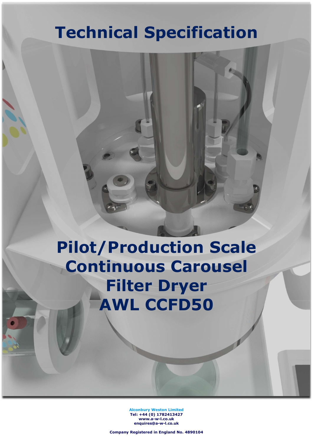# Technical Specification

# Pilot/Production Scale Continuous Carousel Filter Dryer AWL CCFD50

Alconbury Weston Limited Tel: +44 (0) 1782413427 www.a-w-l.co.uk enquires@a-w-l.co.uk

Company Registered in England No. 4890104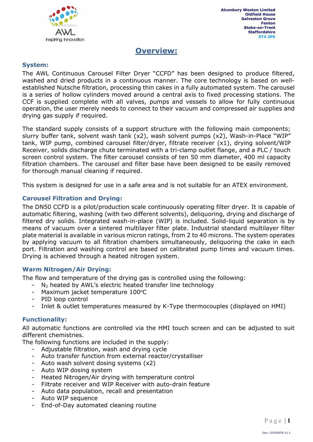

## Overview:

#### System:

The AWL Continuous Carousel Filter Dryer "CCFD" has been designed to produce filtered, washed and dried products in a continuous manner. The core technology is based on wellestablished Nutsche filtration, processing thin cakes in a fully automated system. The carousel is a series of hollow cylinders moved around a central axis to fixed processing stations. The CCF is supplied complete with all valves, pumps and vessels to allow for fully continuous operation, the user merely needs to connect to their vacuum and compressed air supplies and drying gas supply if required.

The standard supply consists of a support structure with the following main components; slurry buffer tank, solvent wash tank (x2), wash solvent pumps (x2), Wash-in-Place "WIP" tank, WIP pump, combined carousel filter/dryer, filtrate receiver (x1), drying solvent/WIP Receiver, solids discharge chute terminated with a tri-clamp outlet flange, and a PLC / touch screen control system. The filter carousel consists of ten 50 mm diameter, 400 ml capacity filtration chambers. The carousel and filter base have been designed to be easily removed for thorough manual cleaning if required.

This system is designed for use in a safe area and is not suitable for an ATEX environment.

#### Carousel Filtration and Drying:

The DN50 CCFD is a pilot/production scale continuously operating filter dryer. It is capable of automatic filtering, washing (with two different solvents), deliquoring, drying and discharge of filtered dry solids. Integrated wash-in-place (WIP) is included. Solid-liquid separation is by means of vacuum over a sintered multilayer filter plate. Industrial standard multilayer filter plate material is available in various micron ratings, from 2 to 40 microns. The system operates by applying vacuum to all filtration chambers simultaneously, deliquoring the cake in each port. Filtration and washing control are based on calibrated pump times and vacuum times. Drying is achieved through a heated nitrogen system.

#### Warm Nitrogen/Air Drying:

The flow and temperature of the drying gas is controlled using the following:

- $-$  N<sub>2</sub> heated by AWL's electric heated transfer line technology
- Maximum jacket temperature 100°C
- PID loop control
- Inlet & outlet temperatures measured by K-Type thermocouples (displayed on HMI)

#### Functionality:

All automatic functions are controlled via the HMI touch screen and can be adjusted to suit different chemistries.

The following functions are included in the supply:

- Adjustable filtration, wash and drying cycle
- Auto transfer function from external reactor/crystalliser
- Auto wash solvent dosing systems (x2)
- Auto WIP dosing system
- Heated Nitrogen/Air drying with temperature control
- Filtrate receiver and WIP Receiver with auto-drain feature
- Auto data population, recall and presentation
- Auto WIP sequence
- End-of-Day automated cleaning routine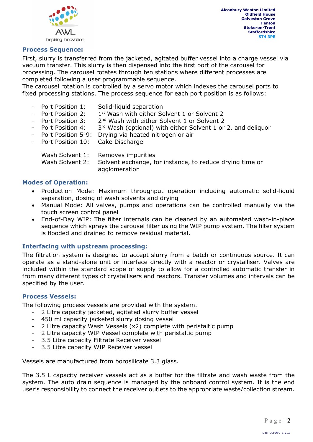

#### Process Sequence:

First, slurry is transferred from the jacketed, agitated buffer vessel into a charge vessel via vacuum transfer. This slurry is then dispensed into the first port of the carousel for processing. The carousel rotates through ten stations where different processes are completed following a user programmable sequence.

The carousel rotation is controlled by a servo motor which indexes the carousel ports to fixed processing stations. The process sequence for each port position is as follows:

- Port Position 1: Solid-liquid separation
- Port Position 2: 1<sup>st</sup> Wash with either Solvent 1 or Solvent 2
- Port Position 3: 2<sup>nd</sup> Wash with either Solvent 1 or Solvent 2
- Port Position 4: 3rd Wash (optional) with either Solvent 1 or 2, and deliquor
- Port Position 5-9: Drying via heated nitrogen or air
- Port Position 10: Cake Discharge

|                 | Wash Solvent 1: Removes impurities                       |
|-----------------|----------------------------------------------------------|
| Wash Solvent 2: | Solvent exchange, for instance, to reduce drying time or |
|                 | agglomeration                                            |

#### Modes of Operation:

- Production Mode: Maximum throughput operation including automatic solid-liquid separation, dosing of wash solvents and drying
- Manual Mode: All valves, pumps and operations can be controlled manually via the touch screen control panel
- End-of-Day WIP: The filter internals can be cleaned by an automated wash-in-place sequence which sprays the carousel filter using the WIP pump system. The filter system is flooded and drained to remove residual material.

#### Interfacing with upstream processing:

The filtration system is designed to accept slurry from a batch or continuous source. It can operate as a stand-alone unit or interface directly with a reactor or crystalliser. Valves are included within the standard scope of supply to allow for a controlled automatic transfer in from many different types of crystallisers and reactors. Transfer volumes and intervals can be specified by the user.

#### Process Vessels:

The following process vessels are provided with the system.

- 2 Litre capacity jacketed, agitated slurry buffer vessel
- 450 ml capacity jacketed slurry dosing vessel
- 2 Litre capacity Wash Vessels (x2) complete with peristaltic pump
- 2 Litre capacity WIP Vessel complete with peristaltic pump
- 3.5 Litre capacity Filtrate Receiver vessel
- 3.5 Litre capacity WIP Receiver vessel

Vessels are manufactured from borosilicate 3.3 glass.

The 3.5 L capacity receiver vessels act as a buffer for the filtrate and wash waste from the system. The auto drain sequence is managed by the onboard control system. It is the end user's responsibility to connect the receiver outlets to the appropriate waste/collection stream.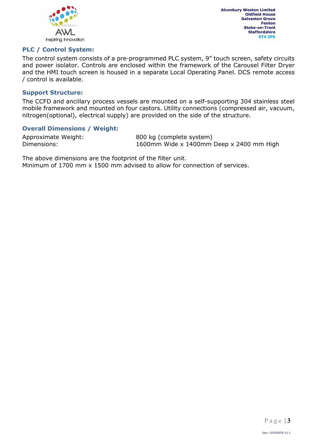

#### PLC / Control System:

The control system consists of a pre-programmed PLC system, 9" touch screen, safety circuits and power isolator. Controls are enclosed within the framework of the Carousel Filter Dryer and the HMI touch screen is housed in a separate Local Operating Panel. DCS remote access / control is available.

#### Support Structure:

The CCFD and ancillary process vessels are mounted on a self-supporting 304 stainless steel mobile framework and mounted on four castors. Utility connections (compressed air, vacuum, nitrogen(optional), electrical supply) are provided on the side of the structure.

#### Overall Dimensions / Weight:

Approximate Weight: 800 kg (complete system) Dimensions: 1600mm Wide x 1400mm Deep x 2400 mm High

The above dimensions are the footprint of the filter unit. Minimum of 1700 mm x 1500 mm advised to allow for connection of services.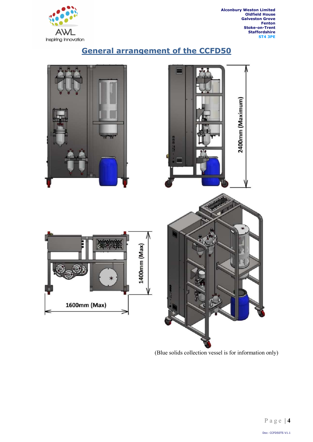

2400mm (Maximum)

## General arrangement of the CCFD50



(Blue solids collection vessel is for information only)

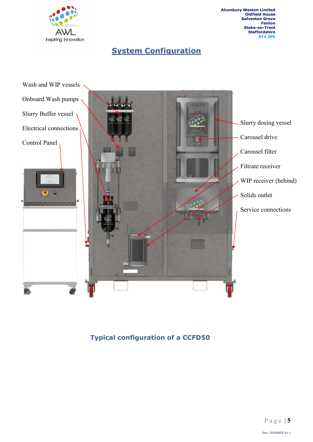

## **System Configuration**



Typical configuration of a CCFD50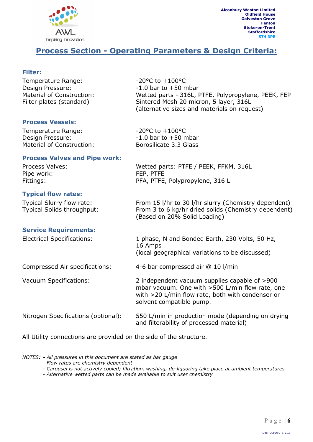

## Process Section - Operating Parameters & Design Criteria:

#### Filter:

| Temperature Range:<br>Design Pressure:<br>Material of Construction:<br>Filter plates (standard) | $-20$ °C to $+100$ °C<br>$-1.0$ bar to $+50$ mbar<br>Wetted parts - 316L, PTFE, Polypropylene, PEEK, FEP<br>Sintered Mesh 20 micron, 5 layer, 316L<br>(alternative sizes and materials on request) |
|-------------------------------------------------------------------------------------------------|----------------------------------------------------------------------------------------------------------------------------------------------------------------------------------------------------|
| <b>Process Vessels:</b>                                                                         |                                                                                                                                                                                                    |
| Temperature Range:<br>Design Pressure:<br>Material of Construction:                             | $-20$ °C to $+100$ °C<br>$-1.0$ bar to $+50$ mbar<br>Borosilicate 3.3 Glass                                                                                                                        |
| <b>Process Valves and Pipe work:</b>                                                            |                                                                                                                                                                                                    |
| Process Valves:<br>Pipe work:                                                                   | Wetted parts: PTFE / PEEK, FFKM, 316L<br>FEP, PTFE                                                                                                                                                 |
| Fittings:                                                                                       | PFA, PTFE, Polypropylene, 316 L                                                                                                                                                                    |
| <b>Typical flow rates:</b>                                                                      |                                                                                                                                                                                                    |
| Typical Slurry flow rate:<br>Typical Solids throughput:                                         | From 15 I/hr to 30 I/hr slurry (Chemistry dependent)<br>From 3 to 6 kg/hr dried solids (Chemistry dependent)<br>(Based on 20% Solid Loading)                                                       |
| <b>Service Requirements:</b>                                                                    |                                                                                                                                                                                                    |
| <b>Electrical Specifications:</b>                                                               | 1 phase, N and Bonded Earth, 230 Volts, 50 Hz,<br>16 Amps                                                                                                                                          |
|                                                                                                 | (local geographical variations to be discussed)                                                                                                                                                    |
| Compressed Air specifications:                                                                  | 4-6 bar compressed air @ 10 l/min                                                                                                                                                                  |
| <b>Vacuum Specifications:</b>                                                                   | 2 independent vacuum supplies capable of >900<br>mbar vacuum. One with >500 L/min flow rate, one<br>with >20 L/min flow rate, both with condenser or<br>solvent compatible pump.                   |
| Nitrogen Specifications (optional):                                                             | 550 L/min in production mode (depending on drying<br>and filterability of processed material)                                                                                                      |

All Utility connections are provided on the side of the structure.

NOTES: - All pressures in this document are stated as bar gauge

- Flow rates are chemistry dependent
- Carousel is not actively cooled; filtration, washing, de-liquoring take place at ambient temperatures
- Alternative wetted parts can be made available to suit user chemistry